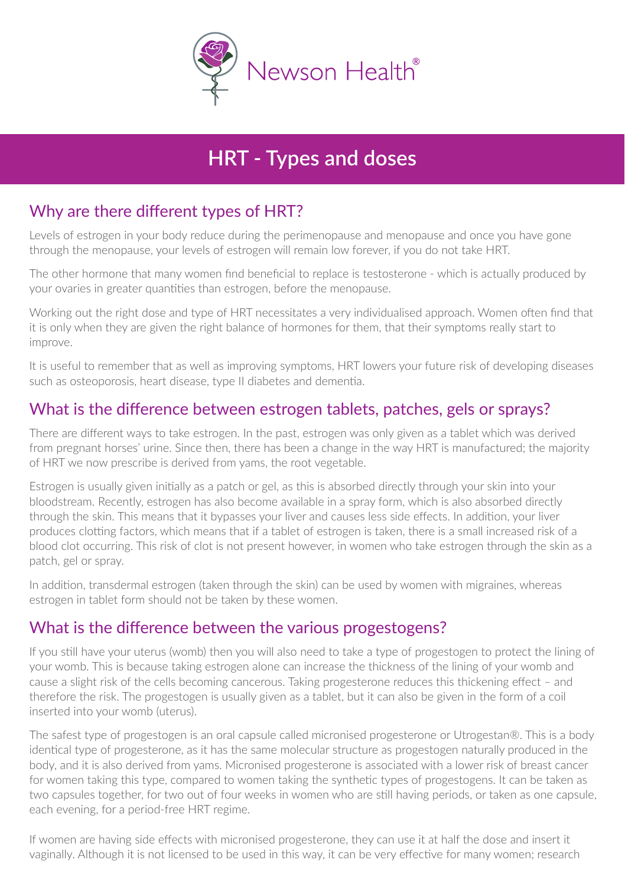

# **HRT Types and doses**

## Why are there different types of HRT?

Levels of estrogen in your body reduce during the perimenopause and menopause and once you have gone through the menopause, your levels of estrogen will remain low forever, if you do not take HRT.

The other hormone that many women find beneficial to replace is testosterone - which is actually produced by your ovaries in greater quantities than estrogen, before the menopause.

Working out the right dose and type of HRT necessitates a very individualised approach. Women often find that it is only when they are given the right balance of hormones for them, that their symptoms really start to improve.

It is useful to remember that as well as improving symptoms, HRT lowers your future risk of developing diseases such as osteoporosis, heart disease, type II diabetes and dementia.

#### What is the difference between estrogen tablets, patches, gels or sprays?

There are different ways to take estrogen. In the past, estrogen was only given as a tablet which was derived from pregnant horses' urine. Since then, there has been a change in the way HRT is manufactured; the majority of HRT we now prescribe is derived from yams, the root vegetable.

Estrogen is usually given initially as a patch or gel, as this is absorbed directly through your skin into your bloodstream. Recently, estrogen has also become available in a spray form, which is also absorbed directly through the skin. This means that it bypasses your liver and causes less side effects. In addition, your liver produces clotting factors, which means that if a tablet of estrogen is taken, there is a small increased risk of a blood clot occurring. This risk of clot is not present however, in women who take estrogen through the skin as a patch, gel or spray.

In addition, transdermal estrogen (taken through the skin) can be used by women with migraines, whereas estrogen in tablet form should not be taken by these women.

#### What is the difference between the various progestogens?

If you still have your uterus (womb) then you will also need to take a type of progestogen to protect the lining of your womb. This is because taking estrogen alone can increase the thickness of the lining of your womb and cause a slight risk of the cells becoming cancerous. Taking progesterone reduces this thickening effect – and therefore the risk. The progestogen is usually given as a tablet, but it can also be given in the form of a coil inserted into your womb (uterus).

The safest type of progestogen is an oral capsule called micronised progesterone or Utrogestan®. This is a body identical type of progesterone, as it has the same molecular structure as progestogen naturally produced in the body, and it is also derived from yams. Micronised progesterone is associated with a lower risk of breast cancer for women taking this type, compared to women taking the synthetic types of progestogens. It can be taken as two capsules together, for two out of four weeks in women who are still having periods, or taken as one capsule, each evening, for a period-free HRT regime.

If women are having side effects with micronised progesterone, they can use it at half the dose and insert it vaginally. Although it is not licensed to be used in this way, it can be very effective for many women; research